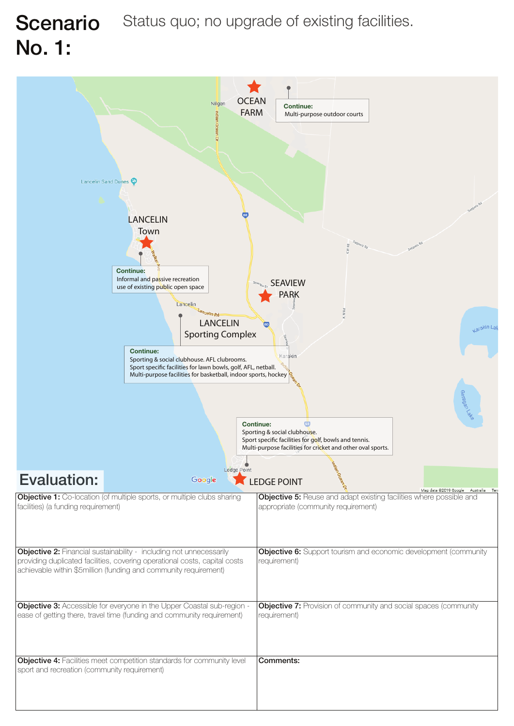

#### Scenario Status quo; no upgrade of existing facilities. No. 1:

|                                                                                                                                                                                                                              | allen/ale                                                                                                                                                                |
|------------------------------------------------------------------------------------------------------------------------------------------------------------------------------------------------------------------------------|--------------------------------------------------------------------------------------------------------------------------------------------------------------------------|
|                                                                                                                                                                                                                              | <b>Continue:</b><br>Sporting & social clubhouse.<br>Sport specific facilities for golf, bowls and tennis.<br>Multi-purpose facilities for cricket and other oval sports. |
| Ledge Point<br><b>Evaluation:</b><br>Google                                                                                                                                                                                  | <b>LEDGE POINT</b><br>Map data ©2019 Google                                                                                                                              |
| <b>Objective 1:</b> Co-location (of multiple sports, or multiple clubs sharing<br>facilities) (a funding requirement)                                                                                                        | <b>Objective 5:</b> Reuse and adapt existing facilities where possible and<br>appropriate (community requirement)                                                        |
| <b>Objective 2:</b> Financial sustainability - including not unnecessarily<br>providing duplicated facilities, covering operational costs, capital costs<br>achievable within \$5million (funding and community requirement) | <b>Objective 6:</b> Support tourism and economic development (community<br>requirement)                                                                                  |
| <b>Objective 3:</b> Accessible for everyone in the Upper Coastal sub-region -<br>ease of getting there, travel time (funding and community requirement)                                                                      | <b>Objective 7:</b> Provision of community and social spaces (community<br>requirement)                                                                                  |
| <b>Objective 4:</b> Facilities meet competition standards for community level<br>sport and recreation (community requirement)                                                                                                | Comments:                                                                                                                                                                |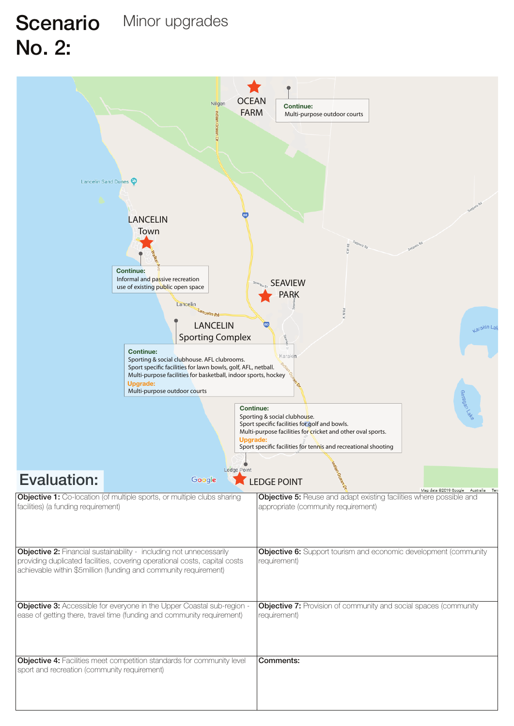

### Scenario Minor upgrades No. 2:

| Multi-purpose outdoor courts                 |                                                                                                                                                                                                                              |                                                                                                                                                                                                                                                                      |
|----------------------------------------------|------------------------------------------------------------------------------------------------------------------------------------------------------------------------------------------------------------------------------|----------------------------------------------------------------------------------------------------------------------------------------------------------------------------------------------------------------------------------------------------------------------|
| <b>Evaluation:</b>                           | Ledge Point                                                                                                                                                                                                                  | aragan Lake<br><b>Continue:</b><br>Sporting & social clubhouse.<br>Sport specific facilities for golf and bowls.<br>Multi-purpose facilities for cricket and other oval sports.<br><b>Upgrade:</b><br>Sport specific facilities for tennis and recreational shooting |
|                                              | Google                                                                                                                                                                                                                       | <b>LEDGE POINT</b><br>Map data ©2019 Google<br>Australia Terr                                                                                                                                                                                                        |
| facilities) (a funding requirement)          | <b>Objective 1:</b> Co-location (of multiple sports, or multiple clubs sharing                                                                                                                                               | <b>Objective 5:</b> Reuse and adapt existing facilities where possible and<br>appropriate (community requirement)                                                                                                                                                    |
|                                              | <b>Objective 2:</b> Financial sustainability - including not unnecessarily<br>providing duplicated facilities, covering operational costs, capital costs<br>achievable within \$5million (funding and community requirement) | <b>Objective 6:</b> Support tourism and economic development (community<br>requirement)                                                                                                                                                                              |
|                                              | <b>Objective 3:</b> Accessible for everyone in the Upper Coastal sub-region -<br>ease of getting there, travel time (funding and community requirement)                                                                      | <b>Objective 7:</b> Provision of community and social spaces (community<br>requirement)                                                                                                                                                                              |
| sport and recreation (community requirement) | <b>Objective 4:</b> Facilities meet competition standards for community level                                                                                                                                                | <b>Comments:</b>                                                                                                                                                                                                                                                     |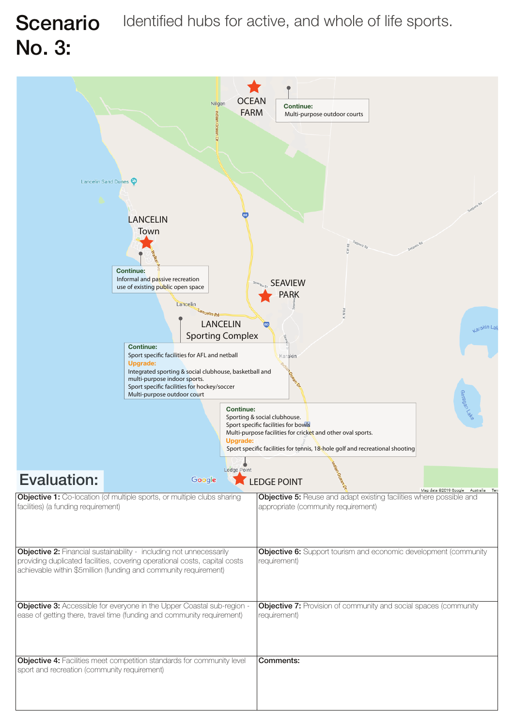

| Sport specific facilities for flockey/soccer<br>Multi-purpose outdoor court |                                                                                                                                                                                                                              |                                     |                                                                                                                                                                                                                                      |
|-----------------------------------------------------------------------------|------------------------------------------------------------------------------------------------------------------------------------------------------------------------------------------------------------------------------|-------------------------------------|--------------------------------------------------------------------------------------------------------------------------------------------------------------------------------------------------------------------------------------|
|                                                                             |                                                                                                                                                                                                                              | <b>Continue:</b><br><b>Upgrade:</b> | aragan Lake<br>Sporting & social clubhouse.<br>Sport specific facilities for bowls<br>Multi-purpose facilities for cricket and other oval sports.<br>Sport specific facilities for tennis, $18$ -hole golf and recreational shooting |
|                                                                             |                                                                                                                                                                                                                              | Ledge Point                         |                                                                                                                                                                                                                                      |
| <b>Evaluation:</b>                                                          | Google                                                                                                                                                                                                                       |                                     | <b>LEDGE POINT</b><br>Map data @2019 Google Australia Terr                                                                                                                                                                           |
| facilities) (a funding requirement)                                         | <b>Objective 1:</b> Co-location (of multiple sports, or multiple clubs sharing                                                                                                                                               |                                     | <b>Objective 5:</b> Reuse and adapt existing facilities where possible and<br>appropriate (community requirement)                                                                                                                    |
|                                                                             | <b>Objective 2:</b> Financial sustainability - including not unnecessarily<br>providing duplicated facilities, covering operational costs, capital costs<br>achievable within \$5million (funding and community requirement) |                                     | <b>Objective 6:</b> Support tourism and economic development (community<br>requirement)                                                                                                                                              |
|                                                                             | <b>Objective 3:</b> Accessible for everyone in the Upper Coastal sub-region -<br>ease of getting there, travel time (funding and community requirement)                                                                      |                                     | <b>Objective 7:</b> Provision of community and social spaces (community<br>requirement)                                                                                                                                              |
| sport and recreation (community requirement)                                | <b>Objective 4:</b> Facilities meet competition standards for community level                                                                                                                                                |                                     | <b>Comments:</b>                                                                                                                                                                                                                     |

#### Scenario Identified hubs for active, and whole of life sports. No. 3: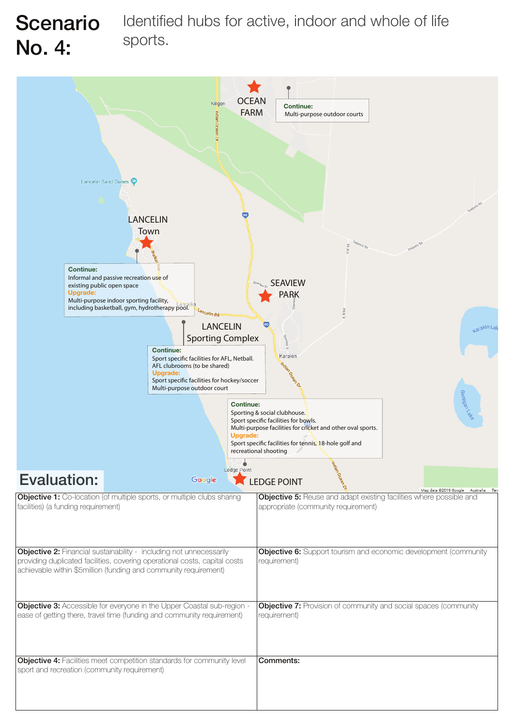

| Multi-purpose outdoor court                                                                                                                             |                                                                                                                                                                                                                              |                                     |                                                                                                                                                                                                                                                    |
|---------------------------------------------------------------------------------------------------------------------------------------------------------|------------------------------------------------------------------------------------------------------------------------------------------------------------------------------------------------------------------------------|-------------------------------------|----------------------------------------------------------------------------------------------------------------------------------------------------------------------------------------------------------------------------------------------------|
|                                                                                                                                                         |                                                                                                                                                                                                                              | <b>Continue:</b><br><b>Upgrade:</b> | ako <sub>l</sub> uaganee<br>Sporting & social clubhouse.<br>Sport specific facilities for bowls.<br>Multi-purpose facilities for cricket and other oval sports.<br>Sport specific facilities for tennis, 18-hole golf and<br>recreational shooting |
|                                                                                                                                                         |                                                                                                                                                                                                                              | Ledge Point                         |                                                                                                                                                                                                                                                    |
| <b>Evaluation:</b>                                                                                                                                      | Google                                                                                                                                                                                                                       |                                     | <b>LEDGE POINT</b>                                                                                                                                                                                                                                 |
| <b>Objective 1:</b> Co-location (of multiple sports, or multiple clubs sharing<br>facilities) (a funding requirement)                                   |                                                                                                                                                                                                                              |                                     | Map data @2019 Google Australia Terr<br><b>Objective 5:</b> Reuse and adapt existing facilities where possible and<br>appropriate (community requirement)                                                                                          |
|                                                                                                                                                         | <b>Objective 2:</b> Financial sustainability - including not unnecessarily<br>providing duplicated facilities, covering operational costs, capital costs<br>achievable within \$5million (funding and community requirement) |                                     | <b>Objective 6:</b> Support tourism and economic development (community<br>requirement)                                                                                                                                                            |
| <b>Objective 3:</b> Accessible for everyone in the Upper Coastal sub-region -<br>ease of getting there, travel time (funding and community requirement) |                                                                                                                                                                                                                              |                                     | <b>Objective 7:</b> Provision of community and social spaces (community<br>requirement)                                                                                                                                                            |
| sport and recreation (community requirement)                                                                                                            | <b>Objective 4:</b> Facilities meet competition standards for community level                                                                                                                                                |                                     | Comments:                                                                                                                                                                                                                                          |

#### Identified hubs for active, indoor and whole of life sports. Scenario No. 4: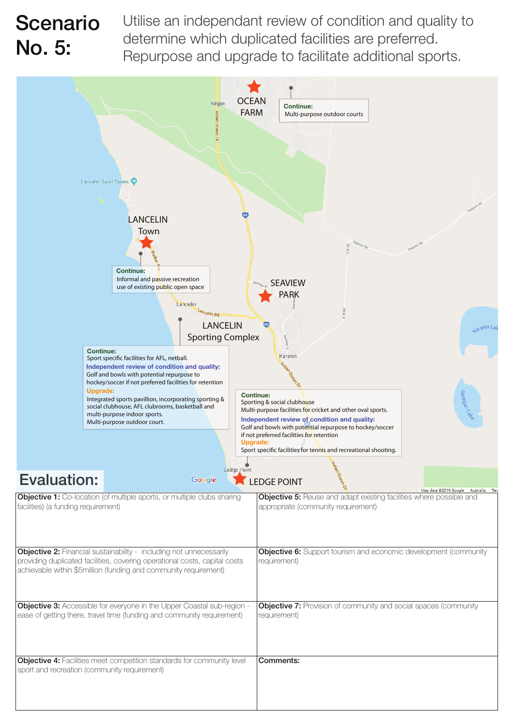![](_page_4_Figure_2.jpeg)

|                                              | <b>Upgrade:</b><br>Integrated sports pavillion, incorporating sporting &<br>social clubhouse, AFL clubrooms, basketball and<br>multi-purpose indoor sports.<br>Multi-purpose outdoor court.                                   | <b>Continue:</b><br>aragan Lake<br>Sporting & social clubhouse<br>Multi-purpose facilities for cricket and other oval sports.<br>Independent review of condition and quality:<br>Golf and bowls with potential repurpose to hockey/soccer<br>if not preferred facilities for retention<br><b>Upgrade:</b><br>Sport specific facilities for tennis and recreational shooting.<br>Ledge Point |
|----------------------------------------------|-------------------------------------------------------------------------------------------------------------------------------------------------------------------------------------------------------------------------------|---------------------------------------------------------------------------------------------------------------------------------------------------------------------------------------------------------------------------------------------------------------------------------------------------------------------------------------------------------------------------------------------|
| <b>Evaluation:</b>                           | Google                                                                                                                                                                                                                        | <b>LEDGE POINT</b><br>Map data ©2019 Google<br>Australia                                                                                                                                                                                                                                                                                                                                    |
| facilities) (a funding requirement)          | <b>Objective 1:</b> Co-location (of multiple sports, or multiple clubs sharing                                                                                                                                                | <b>Objective 5:</b> Reuse and adapt existing facilities where possible and<br>appropriate (community requirement)                                                                                                                                                                                                                                                                           |
|                                              | <b>Objective 2:</b> Financial sustainability - including not unnecessarily<br>providing duplicated facilities, covering operational costs, capital costs<br>achievable within \$5 million (funding and community requirement) | <b>Objective 6:</b> Support tourism and economic development (community<br>requirement)                                                                                                                                                                                                                                                                                                     |
|                                              | <b>Objective 3:</b> Accessible for everyone in the Upper Coastal sub-region -<br>ease of getting there, travel time (funding and community requirement)                                                                       | <b>Objective 7:</b> Provision of community and social spaces (community<br>requirement)                                                                                                                                                                                                                                                                                                     |
| sport and recreation (community requirement) | <b>Objective 4:</b> Facilities meet competition standards for community level                                                                                                                                                 | Comments:                                                                                                                                                                                                                                                                                                                                                                                   |

Utilise an independant review of condition and quality to determine which duplicated facilities are preferred. Repurpose and upgrade to facilitate additional sports.

#### Scenario No. 5: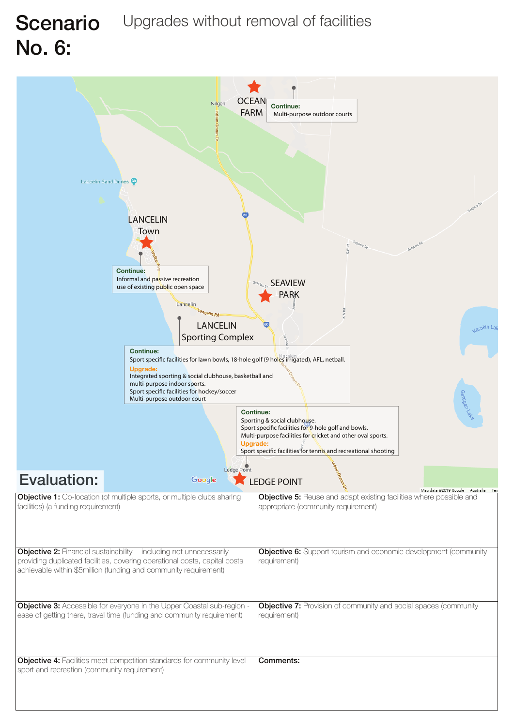![](_page_5_Figure_1.jpeg)

# Scenario Upgrades without removal of facilities No. 6:

| Sport specific facilities for hockey/soccer<br>Multi-purpose outdoor court                                                                              |                                                                                                                                                                                                                              |                                                                                                                                                                                                                                                                                                                                          |
|---------------------------------------------------------------------------------------------------------------------------------------------------------|------------------------------------------------------------------------------------------------------------------------------------------------------------------------------------------------------------------------------|------------------------------------------------------------------------------------------------------------------------------------------------------------------------------------------------------------------------------------------------------------------------------------------------------------------------------------------|
| Evaluation:                                                                                                                                             | Ledge Point<br>Google                                                                                                                                                                                                        | Garagan Lake<br><b>Continue:</b><br>Sporting & social clubhouse.<br>Sport specific facilities for 9-hole golf and bowls.<br>Multi-purpose facilities for cricket and other oval sports.<br><b>Upgrade:</b><br>Sport specific facilities for tennis and recreational shooting<br><b>LEDGE POINT</b><br>Map data @2019 Google<br>Australia |
| facilities) (a funding requirement)                                                                                                                     | <b>Objective 1:</b> Co-location (of multiple sports, or multiple clubs sharing                                                                                                                                               | <b>Objective 5:</b> Reuse and adapt existing facilities where possible and<br>appropriate (community requirement)                                                                                                                                                                                                                        |
|                                                                                                                                                         | <b>Objective 2:</b> Financial sustainability - including not unnecessarily<br>providing duplicated facilities, covering operational costs, capital costs<br>achievable within \$5million (funding and community requirement) | <b>Objective 6:</b> Support tourism and economic development (community<br>requirement)                                                                                                                                                                                                                                                  |
| <b>Objective 3:</b> Accessible for everyone in the Upper Coastal sub-region -<br>ease of getting there, travel time (funding and community requirement) |                                                                                                                                                                                                                              | <b>Objective 7:</b> Provision of community and social spaces (community<br>requirement)                                                                                                                                                                                                                                                  |
| sport and recreation (community requirement)                                                                                                            | <b>Objective 4:</b> Facilities meet competition standards for community level                                                                                                                                                | <b>Comments:</b>                                                                                                                                                                                                                                                                                                                         |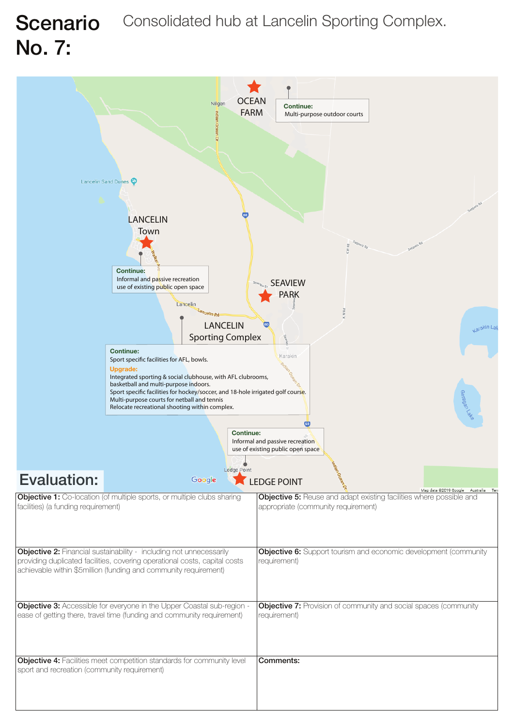![](_page_6_Figure_1.jpeg)

# Scenario Consolidated hub at Lancelin Sporting Complex. No. 7:

|                                                                                                                                                         | Sport specific facilities for hockey/soccer, and 18-hole irrigated golf course.<br>Multi-purpose courts for netball and tennis<br>Relocate recreational shooting within complex.<br><b>Continue:</b>                         | aragan Lake<br>Informal and passive recreation<br>use of existing public open space                                                                       |
|---------------------------------------------------------------------------------------------------------------------------------------------------------|------------------------------------------------------------------------------------------------------------------------------------------------------------------------------------------------------------------------------|-----------------------------------------------------------------------------------------------------------------------------------------------------------|
| <b>Evaluation:</b>                                                                                                                                      | Ledge Point<br>Google                                                                                                                                                                                                        | <b>LEDGE POINT</b>                                                                                                                                        |
| <b>Objective 1:</b> Co-location (of multiple sports, or multiple clubs sharing<br>facilities) (a funding requirement)                                   |                                                                                                                                                                                                                              | Map data @2019 Google Australia Terr<br><b>Objective 5:</b> Reuse and adapt existing facilities where possible and<br>appropriate (community requirement) |
|                                                                                                                                                         | <b>Objective 2:</b> Financial sustainability - including not unnecessarily<br>providing duplicated facilities, covering operational costs, capital costs<br>achievable within \$5million (funding and community requirement) | <b>Objective 6:</b> Support tourism and economic development (community<br>requirement)                                                                   |
| <b>Objective 3:</b> Accessible for everyone in the Upper Coastal sub-region -<br>ease of getting there, travel time (funding and community requirement) |                                                                                                                                                                                                                              | <b>Objective 7:</b> Provision of community and social spaces (community<br>requirement)                                                                   |
| sport and recreation (community requirement)                                                                                                            | <b>Objective 4:</b> Facilities meet competition standards for community level                                                                                                                                                | Comments:                                                                                                                                                 |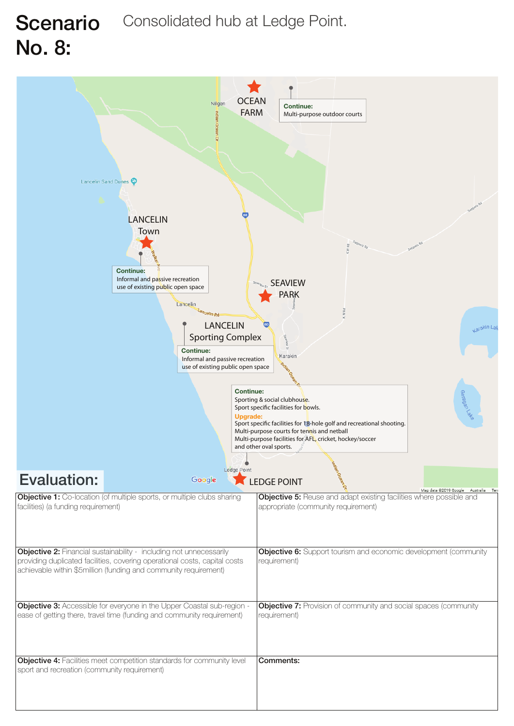![](_page_7_Figure_1.jpeg)

# Scenario Consolidated hub at Ledge Point. No. 8:

|                                              | <b>Continue:</b><br><b>Upgrade:</b><br>Ledge Point                                                                                                                                                                           | Sporting & social clubhouse.<br>Sport specific facilities for bowls.<br>Sport specific facilities for 18-hole golf and recreational shooting.<br>Multi-purpose courts for tennis and netball<br>Multi-purpose facilities for AFL, cricket, hockey/soccer<br>and other oval sports. | aragan Lake                        |
|----------------------------------------------|------------------------------------------------------------------------------------------------------------------------------------------------------------------------------------------------------------------------------|------------------------------------------------------------------------------------------------------------------------------------------------------------------------------------------------------------------------------------------------------------------------------------|------------------------------------|
| Evaluation:                                  | Google                                                                                                                                                                                                                       | <b>LEDGE POINT</b>                                                                                                                                                                                                                                                                 | Map data @2019 Google<br>Australia |
| facilities) (a funding requirement)          | <b>Objective 1:</b> Co-location (of multiple sports, or multiple clubs sharing                                                                                                                                               | <b>Objective 5:</b> Reuse and adapt existing facilities where possible and<br>appropriate (community requirement)                                                                                                                                                                  |                                    |
|                                              | <b>Objective 2:</b> Financial sustainability - including not unnecessarily<br>providing duplicated facilities, covering operational costs, capital costs<br>achievable within \$5million (funding and community requirement) | <b>Objective 6:</b> Support tourism and economic development (community<br>requirement)                                                                                                                                                                                            |                                    |
|                                              | <b>Objective 3:</b> Accessible for everyone in the Upper Coastal sub-region -<br>ease of getting there, travel time (funding and community requirement)                                                                      | <b>Objective 7:</b> Provision of community and social spaces (community<br>requirement)                                                                                                                                                                                            |                                    |
| sport and recreation (community requirement) | <b>Objective 4:</b> Facilities meet competition standards for community level                                                                                                                                                | <b>Comments:</b>                                                                                                                                                                                                                                                                   |                                    |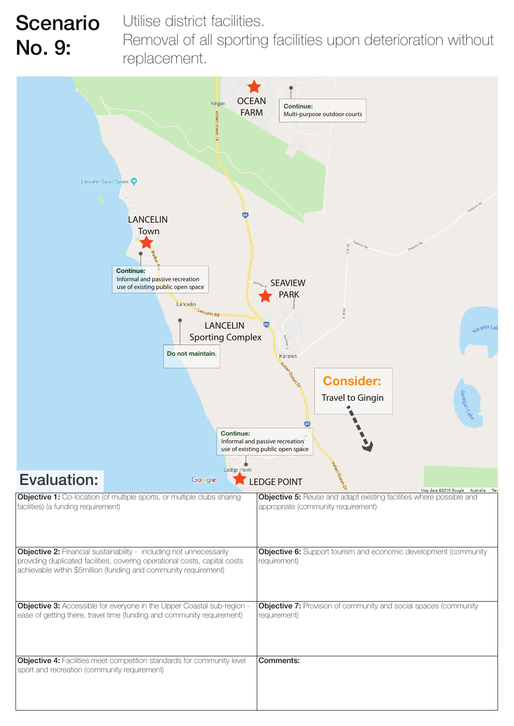![](_page_8_Figure_3.jpeg)

|                                                                                                                                                                                                                              | <b>Travel to Gingin</b><br>ake/vegene                                                                             |
|------------------------------------------------------------------------------------------------------------------------------------------------------------------------------------------------------------------------------|-------------------------------------------------------------------------------------------------------------------|
| <b>Continue:</b>                                                                                                                                                                                                             | Informal and passive recreation<br>use of existing public open space                                              |
| Ledge Point<br><b>Evaluation:</b><br>Google                                                                                                                                                                                  | <b>LEDGE POINT</b><br>Map data @2019 Google Australia Terr                                                        |
| <b>Objective 1:</b> Co-location (of multiple sports, or multiple clubs sharing<br>facilities) (a funding requirement)                                                                                                        | <b>Objective 5:</b> Reuse and adapt existing facilities where possible and<br>appropriate (community requirement) |
| <b>Objective 2:</b> Financial sustainability - including not unnecessarily<br>providing duplicated facilities, covering operational costs, capital costs<br>achievable within \$5million (funding and community requirement) | <b>Objective 6:</b> Support tourism and economic development (community<br>requirement)                           |
| <b>Objective 3:</b> Accessible for everyone in the Upper Coastal sub-region -<br>ease of getting there, travel time (funding and community requirement)                                                                      | <b>Objective 7:</b> Provision of community and social spaces (community<br>requirement)                           |
| <b>Objective 4:</b> Facilities meet competition standards for community level<br>sport and recreation (community requirement)                                                                                                | <b>Comments:</b>                                                                                                  |

Utilise district facilities.

Removal of all sporting facilities upon deterioration without replacement.

#### Scenario No. 9: